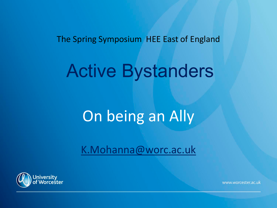The Spring Symposium HEE East of England

## Active Bystanders

### On being an Ally

[K.Mohanna@worc.ac.uk](mailto:K.Mohanna@worc.ac.uk)

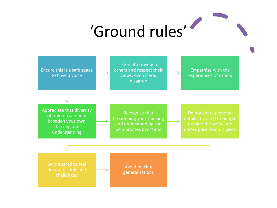# 'Ground rules'

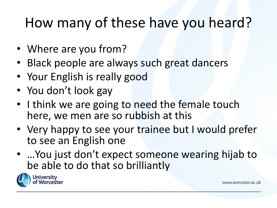#### How many of these have you heard?

- Where are you from?
- Black people are always such great dancers
- Your English is really good
- You don't look gay
- I think we are going to need the female touch here, we men are so rubbish at this
- Very happy to see your trainee but I would prefer to see an English one
- …You just don't expect someone wearing hijab to be able to do that so brilliantly

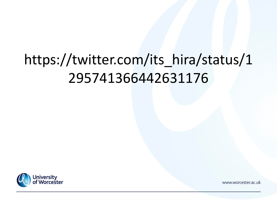### https://twitter.com/its\_hira/status/1 295741366442631176

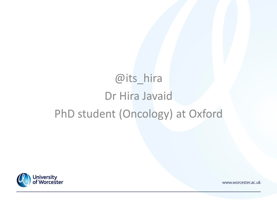#### @its\_hira Dr Hira Javaid PhD student (Oncology) at Oxford

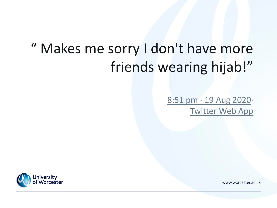#### " Makes me sorry I don't have more friends wearing hijab!"

#### [8:51 pm · 19 Aug 2020·](https://twitter.com/manbikeveg/status/1296172852383801344) [Twitter Web App](https://help.twitter.com/using-twitter/how-to-tweet#source-labels)

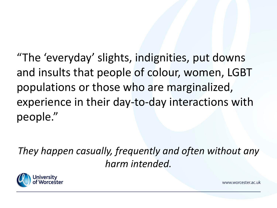"The 'everyday' slights, indignities, put downs and insults that people of colour, women, LGBT populations or those who are marginalized, experience in their day-to-day interactions with people."

*They happen casually, frequently and often without any harm intended.* 

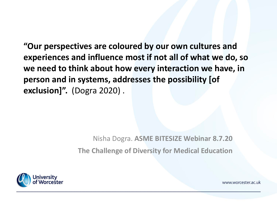**"Our perspectives are coloured by our own cultures and experiences and influence most if not all of what we do, so we need to think about how every interaction we have, in person and in systems, addresses the possibility [of exclusion]".** (Dogra 2020) .

> Nisha Dogra. **ASME BITESIZE Webinar 8.7.20 The Challenge of Diversity for Medical Education**

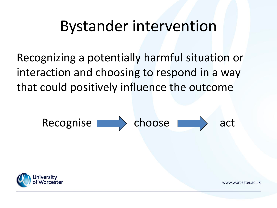#### Bystander intervention

Recognizing a potentially harmful situation or interaction and choosing to respond in a way that could positively influence the outcome

Recognise choose act

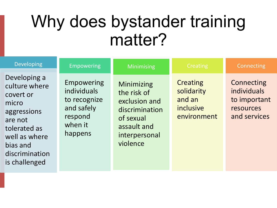## Why does bystander training matter?

| <b>Developing</b>                                                                                                                                             | Empowering                                                                               | Minimising                                                                                                            | Creating                                                            | Connecting                                                             |
|---------------------------------------------------------------------------------------------------------------------------------------------------------------|------------------------------------------------------------------------------------------|-----------------------------------------------------------------------------------------------------------------------|---------------------------------------------------------------------|------------------------------------------------------------------------|
| Developing a<br>culture where<br>covert or<br>micro<br>aggressions<br>are not<br>tolerated as<br>well as where<br>bias and<br>discrimination<br>is challenged | Empowering<br>individuals<br>to recognize<br>and safely<br>respond<br>when it<br>happens | Minimizing<br>the risk of<br>exclusion and<br>discrimination<br>of sexual<br>assault and<br>interpersonal<br>violence | <b>Creating</b><br>solidarity<br>and an<br>inclusive<br>environment | Connecting<br>individuals<br>to important<br>resources<br>and services |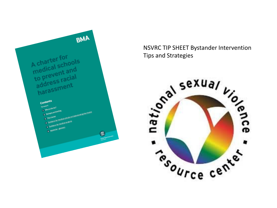

NSVRC TIP SHEET Bystander Intervention Tips and Strategies

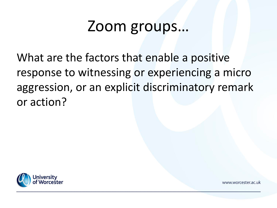#### Zoom groups…

What are the factors that enable a positive response to witnessing or experiencing a micro aggression, or an explicit discriminatory remark or action?

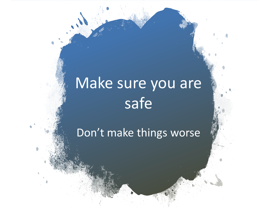## Make sure you are safe

Don't make things worse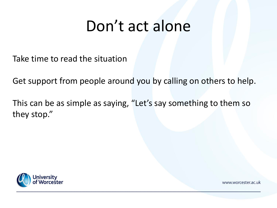### Don't act alone

Take time to read the situation

Get support from people around you by calling on others to help.

This can be as simple as saying, "Let's say something to them so they stop."

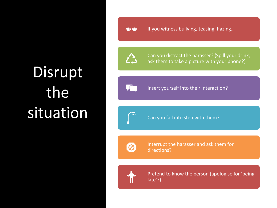## Disrupt the situation

If you witness bullying, teasing, hazing…  $\odot$ 

Can you distract the harasser? (Spill your drink, ask them to take a picture with your phone?)

Insert yourself into their interaction?

保

Can you fall into step with them?

Interrupt the harasser and ask them for directions?



Pretend to know the person (apologise for 'being late'?)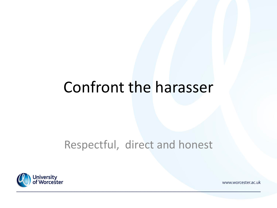#### Confront the harasser

#### Respectful, direct and honest

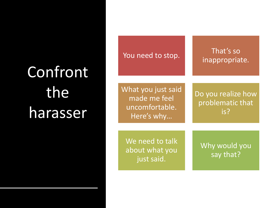## Confront the harasser

| You need to stop.                                                  | That's so<br>inappropriate.                   |  |
|--------------------------------------------------------------------|-----------------------------------------------|--|
| What you just said<br>made me feel<br>uncomfortable.<br>Here's why | Do you realize how<br>problematic that<br>is? |  |
| We need to talk<br>about what you<br>just said.                    | Why would you<br>say that?                    |  |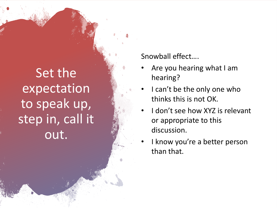Set the expectation to speak up, step in, call it out.

Snowball effect….

- Are you hearing what I am hearing?
- I can't be the only one who thinks this is not OK.
- I don't see how XYZ is relevant or appropriate to this discussion.
- I know you're a better person than that.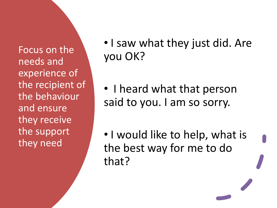Focus on the needs and experience of the recipient of the behaviour and ensure they receive the support they need

• I saw what they just did. Are you OK?

• I heard what that person said to you. I am so sorry.

• I would like to help, what is the best way for me to do that?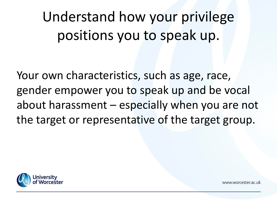Understand how your privilege positions you to speak up.

Your own characteristics, such as age, race, gender empower you to speak up and be vocal about harassment – especially when you are not the target or representative of the target group.

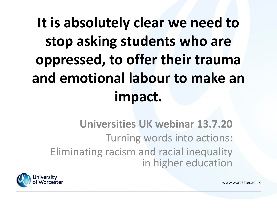## **It is absolutely clear we need to stop asking students who are oppressed, to offer their trauma and emotional labour to make an impact.**

**Universities UK webinar 13.7.20** Turning words into actions: Eliminating racism and racial inequality in higher education



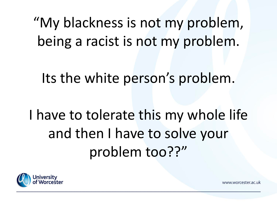"My blackness is not my problem, being a racist is not my problem.

Its the white person's problem.

I have to tolerate this my whole life and then I have to solve your problem too??"

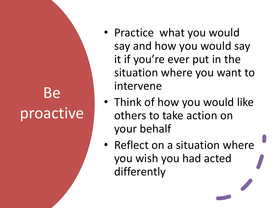## Be proactive

- Practice what you would say and how you would say it if you're ever put in the situation where you want to intervene
- Think of how you would like others to take action on your behalf
- Reflect on a situation where you wish you had acted differently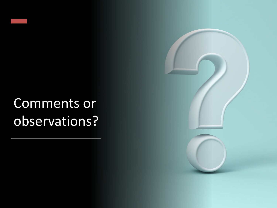#### Comments or observations?